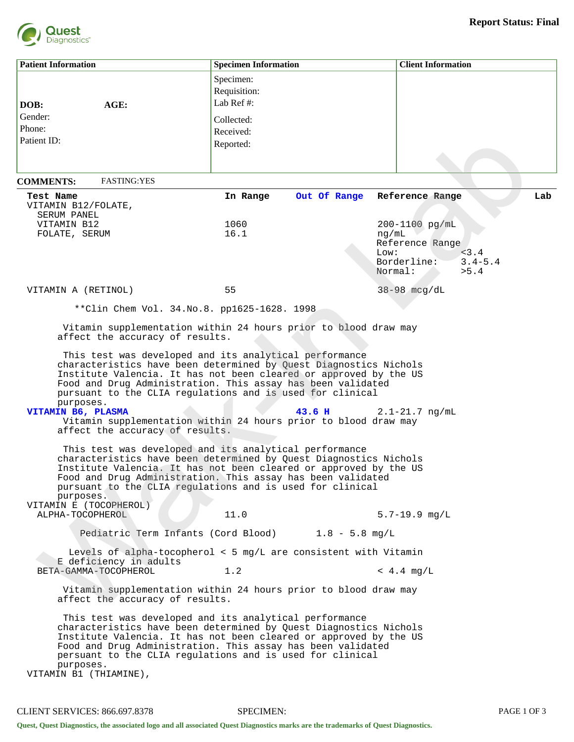

| <b>Patient Information</b>                                                                                                                                                                                                                                                                                                                                          | <b>Specimen Information</b>                                                                                                                                                                                                                                                                                                                                                                              | <b>Client Information</b>                      |  |  |  |
|---------------------------------------------------------------------------------------------------------------------------------------------------------------------------------------------------------------------------------------------------------------------------------------------------------------------------------------------------------------------|----------------------------------------------------------------------------------------------------------------------------------------------------------------------------------------------------------------------------------------------------------------------------------------------------------------------------------------------------------------------------------------------------------|------------------------------------------------|--|--|--|
| AGE:<br>DOB:                                                                                                                                                                                                                                                                                                                                                        | Specimen:<br>Requisition:<br>Lab Ref#:                                                                                                                                                                                                                                                                                                                                                                   |                                                |  |  |  |
| Gender:                                                                                                                                                                                                                                                                                                                                                             | Collected:                                                                                                                                                                                                                                                                                                                                                                                               |                                                |  |  |  |
| Phone:                                                                                                                                                                                                                                                                                                                                                              | Received:                                                                                                                                                                                                                                                                                                                                                                                                |                                                |  |  |  |
| Patient ID:                                                                                                                                                                                                                                                                                                                                                         | Reported:                                                                                                                                                                                                                                                                                                                                                                                                |                                                |  |  |  |
|                                                                                                                                                                                                                                                                                                                                                                     |                                                                                                                                                                                                                                                                                                                                                                                                          |                                                |  |  |  |
| <b>FASTING:YES</b><br><b>COMMENTS:</b>                                                                                                                                                                                                                                                                                                                              |                                                                                                                                                                                                                                                                                                                                                                                                          |                                                |  |  |  |
| Test Name                                                                                                                                                                                                                                                                                                                                                           | Out Of Range<br>In Range                                                                                                                                                                                                                                                                                                                                                                                 | Lab<br>Reference Range                         |  |  |  |
| VITAMIN B12/FOLATE,<br>SERUM PANEL                                                                                                                                                                                                                                                                                                                                  |                                                                                                                                                                                                                                                                                                                                                                                                          |                                                |  |  |  |
| VITAMIN B12                                                                                                                                                                                                                                                                                                                                                         | 1060                                                                                                                                                                                                                                                                                                                                                                                                     | 200-1100 pg/mL                                 |  |  |  |
| FOLATE, SERUM                                                                                                                                                                                                                                                                                                                                                       | 16.1                                                                                                                                                                                                                                                                                                                                                                                                     | $\mathtt{ng}/\mathtt{mL}$                      |  |  |  |
|                                                                                                                                                                                                                                                                                                                                                                     |                                                                                                                                                                                                                                                                                                                                                                                                          | Reference Range<br>< 3.4<br>Low:               |  |  |  |
|                                                                                                                                                                                                                                                                                                                                                                     |                                                                                                                                                                                                                                                                                                                                                                                                          | Borderline:<br>$3.4 - 5.4$<br>Normal:<br>> 5.4 |  |  |  |
| VITAMIN A (RETINOL)                                                                                                                                                                                                                                                                                                                                                 | 55                                                                                                                                                                                                                                                                                                                                                                                                       | $38-98$ mcg/dL                                 |  |  |  |
| ** Clin Chem Vol. 34. No. 8. pp1625-1628. 1998                                                                                                                                                                                                                                                                                                                      |                                                                                                                                                                                                                                                                                                                                                                                                          |                                                |  |  |  |
|                                                                                                                                                                                                                                                                                                                                                                     |                                                                                                                                                                                                                                                                                                                                                                                                          |                                                |  |  |  |
| affect the accuracy of results.                                                                                                                                                                                                                                                                                                                                     | Vitamin supplementation within 24 hours prior to blood draw may                                                                                                                                                                                                                                                                                                                                          |                                                |  |  |  |
| purposes.<br>VITAMIN B6, PLASMA<br>affect the accuracy of results.                                                                                                                                                                                                                                                                                                  | This test was developed and its analytical performance<br>characteristics have been determined by Quest Diagnostics Nichols<br>Institute Valencia. It has not been cleared or approved by the US<br>Food and Drug Administration. This assay has been validated<br>pursuant to the CLIA regulations and is used for clinical<br>43.6H<br>Vitamin supplementation within 24 hours prior to blood draw may | $2.1 - 21.7$ ng/mL                             |  |  |  |
| purposes.<br>VITAMIN E (TOCOPHEROL)                                                                                                                                                                                                                                                                                                                                 | This test was developed and its analytical performance<br>characteristics have been determined by Quest Diagnostics Nichols<br>Institute Valencia. It has not been cleared or approved by the US<br>Food and Drug Administration. This assay has been validated<br>pursuant to the CLIA regulations and is used for clinical                                                                             |                                                |  |  |  |
| ALPHA-TOCOPHEROL                                                                                                                                                                                                                                                                                                                                                    | 11.0                                                                                                                                                                                                                                                                                                                                                                                                     | $5.7 - 19.9$ mg/L                              |  |  |  |
|                                                                                                                                                                                                                                                                                                                                                                     | Pediatric Term Infants (Cord Blood) 1.8 - 5.8 mg/L                                                                                                                                                                                                                                                                                                                                                       |                                                |  |  |  |
| Levels of alpha-tocopherol < 5 mg/L are consistent with Vitamin                                                                                                                                                                                                                                                                                                     |                                                                                                                                                                                                                                                                                                                                                                                                          |                                                |  |  |  |
| E deficiency in adults<br>BETA-GAMMA-TOCOPHEROL                                                                                                                                                                                                                                                                                                                     | 1.2                                                                                                                                                                                                                                                                                                                                                                                                      | $< 4.4$ mg/L                                   |  |  |  |
| affect the accuracy of results.                                                                                                                                                                                                                                                                                                                                     | Vitamin supplementation within 24 hours prior to blood draw may                                                                                                                                                                                                                                                                                                                                          |                                                |  |  |  |
| This test was developed and its analytical performance<br>characteristics have been determined by Quest Diagnostics Nichols<br>Institute Valencia. It has not been cleared or approved by the US<br>Food and Drug Administration. This assay has been validated<br>persuant to the CLIA regulations and is used for clinical<br>purposes.<br>VITAMIN B1 (THIAMINE), |                                                                                                                                                                                                                                                                                                                                                                                                          |                                                |  |  |  |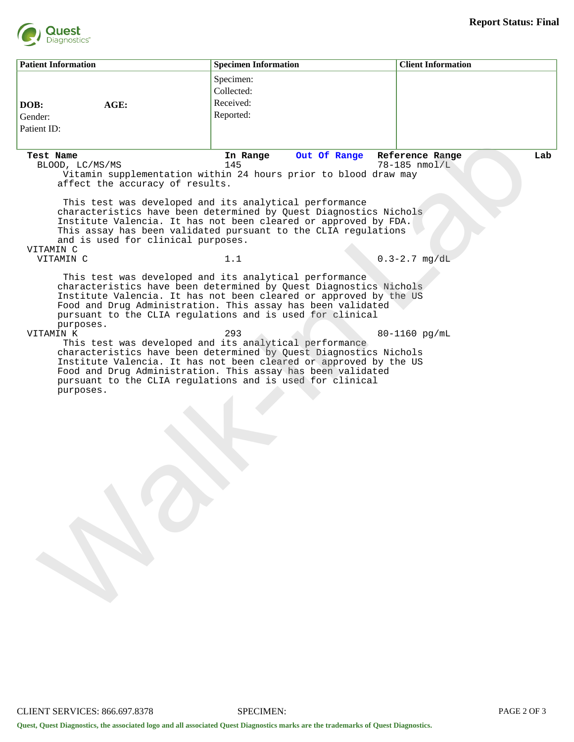

| <b>Patient Information</b> |                                                    | <b>Specimen Information</b>                                                                                                                                                                                                                                                                                                                                                                                                                                                                                                                                                                               | <b>Client Information</b>               |
|----------------------------|----------------------------------------------------|-----------------------------------------------------------------------------------------------------------------------------------------------------------------------------------------------------------------------------------------------------------------------------------------------------------------------------------------------------------------------------------------------------------------------------------------------------------------------------------------------------------------------------------------------------------------------------------------------------------|-----------------------------------------|
| DOB:<br>Gender:            | AGE:                                               | Specimen:<br>Collected:<br>Received:<br>Reported:                                                                                                                                                                                                                                                                                                                                                                                                                                                                                                                                                         |                                         |
| Patient ID:                |                                                    |                                                                                                                                                                                                                                                                                                                                                                                                                                                                                                                                                                                                           |                                         |
| Test Name                  | BLOOD, LC/MS/MS<br>affect the accuracy of results. | In Range<br>Out Of Range<br>145<br>Vitamin supplementation within 24 hours prior to blood draw may                                                                                                                                                                                                                                                                                                                                                                                                                                                                                                        | Lab<br>Reference Range<br>78-185 nmol/L |
| VITAMIN C                  | and is used for clinical purposes.                 | This test was developed and its analytical performance<br>characteristics have been determined by Quest Diagnostics Nichols<br>Institute Valencia. It has not been cleared or approved by FDA.<br>This assay has been validated pursuant to the CLIA regulations                                                                                                                                                                                                                                                                                                                                          |                                         |
| VITAMIN C                  |                                                    | 1.1                                                                                                                                                                                                                                                                                                                                                                                                                                                                                                                                                                                                       | $0.3 - 2.7$ mg/dL                       |
| VITAMIN K                  | purposes.<br>purposes.                             | characteristics have been determined by Quest Diagnostics Nichols<br>Institute Valencia. It has not been cleared or approved by the US<br>Food and Drug Administration. This assay has been validated<br>pursuant to the CLIA regulations and is used for clinical<br>293<br>This test was developed and its analytical performance<br>characteristics have been determined by Quest Diagnostics Nichols<br>Institute Valencia. It has not been cleared or approved by the US<br>Food and Drug Administration. This assay has been validated<br>pursuant to the CLIA regulations and is used for clinical | 80-1160 pg/mL                           |
|                            |                                                    |                                                                                                                                                                                                                                                                                                                                                                                                                                                                                                                                                                                                           |                                         |